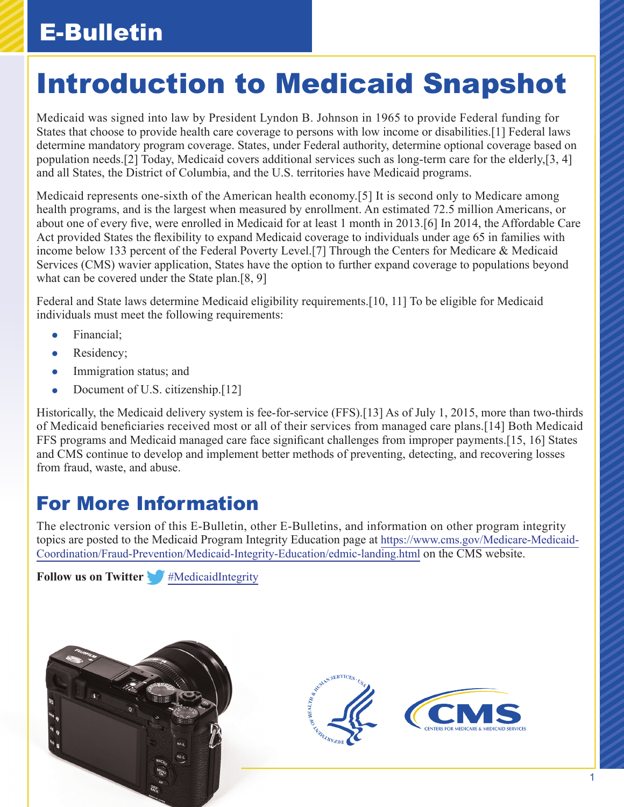## E-Bulletin

# Introduction to Medicaid Snapshot

Medicaid was signed into law by President Lyndon B. Johnson in 1965 to provide Federal funding for States that choose to provide health care coverage to persons with low income or disabilities.[1] Federal laws determine mandatory program coverage. States, under Federal authority, determine optional coverage based on population needs.[2] Today, Medicaid covers additional services such as long-term care for the elderly,[3, 4] and all States, the District of Columbia, and the U.S. territories have Medicaid programs.

Medicaid represents one-sixth of the American health economy.[5] It is second only to Medicare among health programs, and is the largest when measured by enrollment. An estimated 72.5 million Americans, or about one of every five, were enrolled in Medicaid for at least 1 month in 2013.[6] In 2014, the Affordable Care Act provided States the flexibility to expand Medicaid coverage to individuals under age 65 in families with income below 133 percent of the Federal Poverty Level.[7] Through the Centers for Medicare & Medicaid Services (CMS) wavier application, States have the option to further expand coverage to populations beyond what can be covered under the State plan.[8, 9]

Federal and State laws determine Medicaid eligibility requirements.[10, 11] To be eligible for Medicaid individuals must meet the following requirements:

- **•** Financial;
- Residency;
- Immigration status; and
- Document of U.S. citizenship.<sup>[12]</sup>

Historically, the Medicaid delivery system is fee-for-service (FFS).[13] As of July 1, 2015, more than two-thirds of Medicaid beneficiaries received most or all of their services from managed care plans.[14] Both Medicaid FFS programs and Medicaid managed care face significant challenges from improper payments.[15, 16] States and CMS continue to develop and implement better methods of preventing, detecting, and recovering losses from fraud, waste, and abuse.

### For More Information

The electronic version of this E-Bulletin, other E-Bulletins, and information on other program integrity topics are posted to the Medicaid Program Integrity Education page at [https://www.cms.gov/Medicare-Medicaid-](https://www.cms.gov/Medicare-Medicaid-Coordination/Fraud-Prevention/Medicaid-Integrity-Education/edmic-landing.html)[Coordination/Fraud-Prevention/Medicaid-Integrity-Education/edmic-landing.html](https://www.cms.gov/Medicare-Medicaid-Coordination/Fraud-Prevention/Medicaid-Integrity-Education/edmic-landing.html) on the CMS website.

**Followus on Twitter** *[#MedicaidIntegrity](https://twitter.com/hashtag/MedicaidIntegrity)*